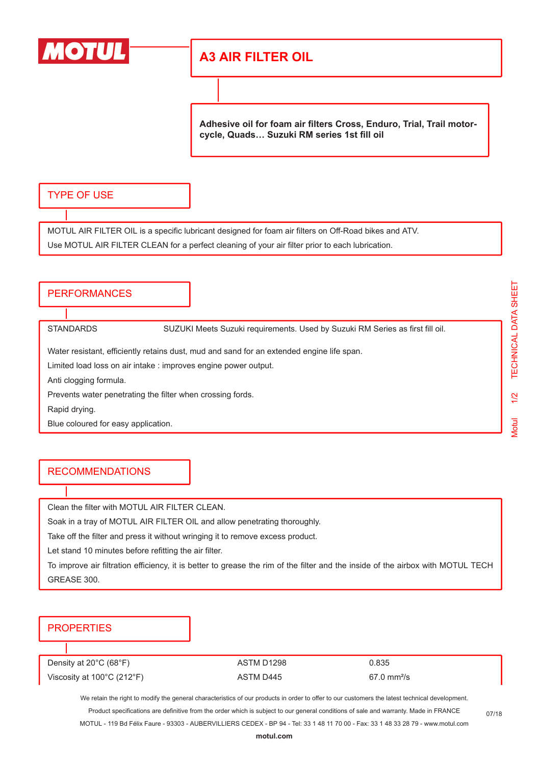

# **A3 AIR FILTER OIL**

**Adhesive oil for foam air filters Cross, Enduro, Trial, Trail motorcycle, Quads… Suzuki RM series 1st fill oil**

### TYPE OF USE

MOTUL AIR FILTER OIL is a specific lubricant designed for foam air filters on Off-Road bikes and ATV. Use MOTUL AIR FILTER CLEAN for a perfect cleaning of your air filter prior to each lubrication.

#### **PERFORMANCES**

STANDARDS SUZUKI Meets Suzuki requirements. Used by Suzuki RM Series as first fill oil.

Water resistant, efficiently retains dust, mud and sand for an extended engine life span.

Limited load loss on air intake : improves engine power output.

Anti clogging formula.

Prevents water penetrating the filter when crossing fords.

Rapid drying.

Blue coloured for easy application.

#### RECOMMENDATIONS

Clean the filter with MOTUL AIR FILTER CLEAN.

Soak in a tray of MOTUL AIR FILTER OIL and allow penetrating thoroughly.

Take off the filter and press it without wringing it to remove excess product.

Let stand 10 minutes before refitting the air filter.

To improve air filtration efficiency, it is better to grease the rim of the filter and the inside of the airbox with MOTUL TECH GREASE 300.

## **PROPERTIES**

Density at 20°C (68°F)  $\overline{AB}$  ASTM D1298 0.835

Viscosity at 100°C (212°F)  $\overline{a}$  ASTM D445 67.0 mm<sup>2</sup>/s

We retain the right to modify the general characteristics of our products in order to offer to our customers the latest technical development. Product specifications are definitive from the order which is subject to our general conditions of sale and warranty. Made in FRANCE

MOTUL - 119 Bd Félix Faure - 93303 - AUBERVILLIERS CEDEX - BP 94 - Tel: 33 1 48 11 70 00 - Fax: 33 1 48 33 28 79 - www.motul.com

07/18